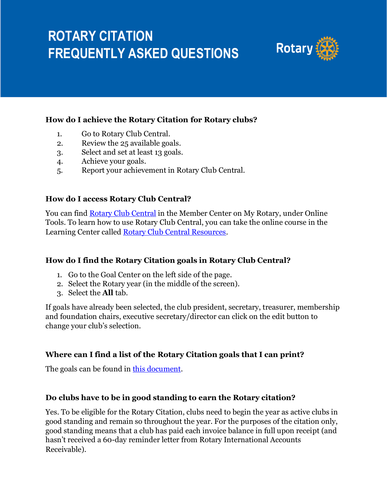

## **How do I achieve the Rotary Citation for Rotary clubs?**

- 1. Go to Rotary Club Central.
- 2. Review the 25 available goals.
- 3. Select and set at least 13 goals.
- 4. Achieve your goals.
- 5. Report your achievement in Rotary Club Central.

## **How do I access Rotary Club Central?**

You can find [Rotary Club Central](https://my-cms.rotary.org/en/secure/application/341) in the Member Center on My Rotary, under Online Tools. To learn how to use Rotary Club Central, you can take the online course in the Learning Center called [Rotary Club Central Resources.](https://my.rotary.org/learn?deep-link=https%3A//learn.rotary.org/members%3Fr%3Dsite/sso%26sso_type%3Dsaml%26id_course%3D8)

## **How do I find the Rotary Citation goals in Rotary Club Central?**

- 1. Go to the Goal Center on the left side of the page.
- 2. Select the Rotary year (in the middle of the screen).
- 3. Select the **All** tab.

If goals have already been selected, the club president, secretary, treasurer, membership and foundation chairs, executive secretary/director can click on the edit button to change your club's selection.

## **Where can I find a list of the Rotary Citation goals that I can print?**

The goals can be found in [this document.](https://my.rotary.org/en/document/rotary-citation-goals-and-instructions-2020-21)

## **Do clubs have to be in good standing to earn the Rotary citation?**

Yes. To be eligible for the Rotary Citation, clubs need to begin the year as active clubs in good standing and remain so throughout the year. For the purposes of the citation only, good standing means that a club has paid each invoice balance in full upon receipt (and hasn't received a 60-day reminder letter from Rotary International Accounts Receivable).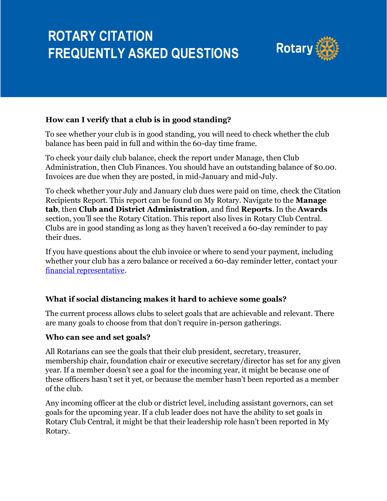

## **How can I verify that a club is in good standing?**

To see whether your club is in good standing, you will need to check whether the club balance has been paid in full and within the 60-day time frame.

To check your daily club balance, check the report under Manage, then Club Administration, then Club Finances. You should have an outstanding balance of \$0.00. Invoices are due when they are posted, in mid-January and mid-July.

To check whether your July and January club dues were paid on time, check the Citation Recipients Report. This report can be found on My Rotary. Navigate to the **Manage tab**, then **Club and District Administration**, and find **Reports**. In the **Awards** section, you'll see the Rotary Citation. This report also lives in Rotary Club Central. Clubs are in good standing as long as they haven't received a 60-day reminder to pay their dues.

If you have questions about the club invoice or where to send your payment, including whether your club has a zero balance or received a 60-day reminder letter, contact your [financial representative.](https://nam02.safelinks.protection.outlook.com/?url=https%3A%2F%2Fmy.rotary.org%2Fen%2Fcontact%2Freps&data=02%7C01%7Cmaritza.velez%40rotary.org%7Ce18032129be848a4893c08d6faa4e76a%7C67b4e0430afd4afb8b94bf96370c8e7f%7C1%7C0%7C636971983542247306&sdata=GbikSm2X3GTCC2ZbKznLJygsqchF4OPW%2BNBemq2rYYM%3D&reserved=0)

## **What if social distancing makes it hard to achieve some goals?**

The current process allows clubs to select goals that are achievable and relevant. There are many goals to choose from that don't require in-person gatherings.

#### **Who can see and set goals?**

All Rotarians can see the goals that their club president, secretary, treasurer, membership chair, foundation chair or executive secretary/director has set for any given year. If a member doesn't see a goal for the incoming year, it might be because one of these officers hasn't set it yet, or because the member hasn't been reported as a member of the club.

Any incoming officer at the club or district level, including assistant governors, can set goals for the upcoming year. If a club leader does not have the ability to set goals in Rotary Club Central, it might be that their leadership role hasn't been reported in My Rotary.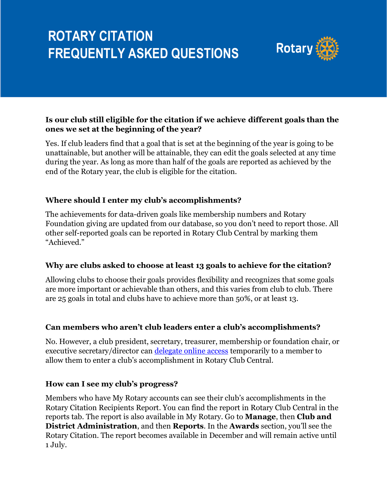

## **Is our club still eligible for the citation if we achieve different goals than the ones we set at the beginning of the year?**

Yes. If club leaders find that a goal that is set at the beginning of the year is going to be unattainable, but another will be attainable, they can edit the goals selected at any time during the year. As long as more than half of the goals are reported as achieved by the end of the Rotary year, the club is eligible for the citation.

## **Where should I enter my club's accomplishments?**

The achievements for data-driven goals like membership numbers and Rotary Foundation giving are updated from our database, so you don't need to report those. All other self-reported goals can be reported in Rotary Club Central by marking them "Achieved."

## **Why are clubs asked to choose at least 13 goals to achieve for the citation?**

Allowing clubs to choose their goals provides flexibility and recognizes that some goals are more important or achievable than others, and this varies from club to club. There are 25 goals in total and clubs have to achieve more than 50%, or at least 13.

#### **Can members who aren't club leaders enter a club's accomplishments?**

No. However, a club president, secretary, treasurer, membership or foundation chair, or executive secretary/director can [delegate online access](http://www.rotary.org/en/document/how-delegate-your-online-access) temporarily to a member to allow them to enter a club's accomplishment in Rotary Club Central.

#### **How can I see my club's progress?**

Members who have My Rotary accounts can see their club's accomplishments in the Rotary Citation Recipients Report. You can find the report in Rotary Club Central in the reports tab. The report is also available in My Rotary. Go to **Manage**, then **Club and District Administration**, and then **Reports**. In the **Awards** section, you'll see the Rotary Citation. The report becomes available in December and will remain active until 1 July.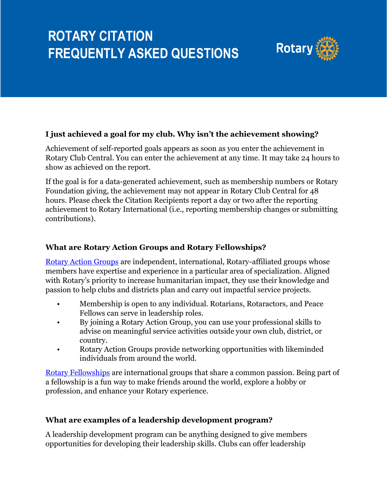

## **I just achieved a goal for my club. Why isn't the achievement showing?**

Achievement of self-reported goals appears as soon as you enter the achievement in Rotary Club Central. You can enter the achievement at any time. It may take 24 hours to show as achieved on the report.

If the goal is for a data-generated achievement, such as membership numbers or Rotary Foundation giving, the achievement may not appear in Rotary Club Central for 48 hours. Please check the Citation Recipients report a day or two after the reporting achievement to Rotary International (i.e., reporting membership changes or submitting contributions).

#### **What are Rotary Action Groups and Rotary Fellowships?**

Rotary [Action Groups](https://my.rotary.org/en/take-action/empower-leaders/join-rotarian-action-group) are independent, international, Rotary-affiliated groups whose members have expertise and experience in a particular area of specialization. Aligned with Rotary's priority to increase humanitarian impact, they use their knowledge and passion to help clubs and districts plan and carry out impactful service projects.

- Membership is open to any individual. Rotarians, Rotaractors, and Peace Fellows can serve in leadership roles.
- By joining a Rotary Action Group, you can use your professional skills to advise on meaningful service activities outside your own club, district, or country.
- Rotary Action Groups provide networking opportunities with likeminded individuals from around the world.

[Rotary Fellowships](http://www.rotary.org/fellowships) are international groups that share a common passion. Being part of a fellowship is a fun way to make friends around the world, explore a hobby or profession, and enhance your Rotary experience.

## **What are examples of a leadership development program?**

A leadership development program can be anything designed to give members opportunities for developing their leadership skills. Clubs can offer leadership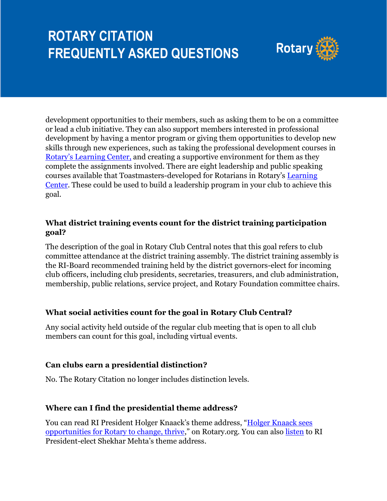

development opportunities to their members, such as asking them to be on a committee or lead a club initiative. They can also support members interested in professional development by having a mentor program or giving them opportunities to develop new skills through new experiences, such as taking the professional development courses in [Rotary's Learning Center](http://www.rotary.org/learn), and creating a supportive environment for them as they complete the assignments involved. There are eight leadership and public speaking courses available that Toastmasters-developed for Rotarians in Rotary's [Learning](http://www.rotary.org/learn)  [Center.](http://www.rotary.org/learn) These could be used to build a leadership program in your club to achieve this goal.

#### **What district training events count for the district training participation goal?**

The description of the goal in Rotary Club Central notes that this goal refers to club committee attendance at the district training assembly. The district training assembly is the RI-Board recommended training held by the district governors-elect for incoming club officers, including club presidents, secretaries, treasurers, and club administration, membership, public relations, service project, and Rotary Foundation committee chairs.

#### **What social activities count for the goal in Rotary Club Central?**

Any social activity held outside of the regular club meeting that is open to all club members can count for this goal, including virtual events.

#### **Can clubs earn a presidential distinction?**

No. The Rotary Citation no longer includes distinction levels.

## **Where can I find the presidential theme address?**

You can read RI President Holger Knaack's theme address, "Holger Knaack sees [opportunities for Rotary to change, thrive](https://www.rotary.org/en/holger-knaack-sees-opportunities-rotary-change-thrive)," on Rotary.org. You can also [listen](https://my.rotary.org/en/news-media/office-president/ri-president-elect) to RI President-elect Shekhar Mehta's theme address.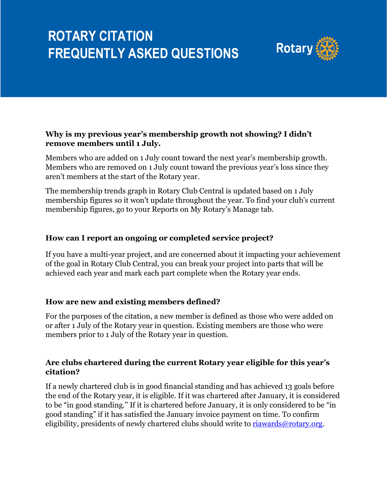

#### **Why is my previous year's membership growth not showing? I didn't remove members until 1 July.**

Members who are added on 1 July count toward the next year's membership growth. Members who are removed on 1 July count toward the previous year's loss since they aren't members at the start of the Rotary year.

The membership trends graph in Rotary Club Central is updated based on 1 July membership figures so it won't update throughout the year. To find your club's current membership figures, go to your Reports on My Rotary's Manage tab.

## **How can I report an ongoing or completed service project?**

If you have a multi-year project, and are concerned about it impacting your achievement of the goal in Rotary Club Central, you can break your project into parts that will be achieved each year and mark each part complete when the Rotary year ends.

## **How are new and existing members defined?**

For the purposes of the citation, a new member is defined as those who were added on or after 1 July of the Rotary year in question. Existing members are those who were members prior to 1 July of the Rotary year in question.

#### **Are clubs chartered during the current Rotary year eligible for this year's citation?**

If a newly chartered club is in good financial standing and has achieved 13 goals before the end of the Rotary year, it is eligible. If it was chartered after January, it is considered to be "in good standing." If it is chartered before January, it is only considered to be "in good standing" if it has satisfied the January invoice payment on time. To confirm eligibility, presidents of newly chartered clubs should write to [riawards@rotary.org.](mailto:riawards@rotary.org)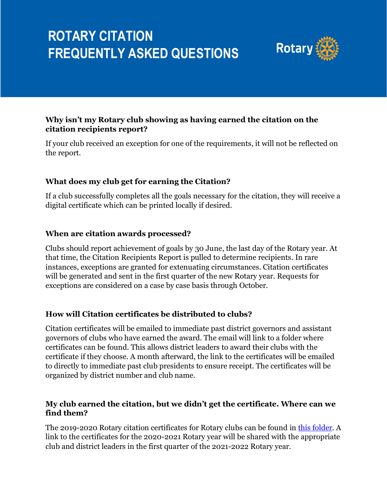

## **Why isn't my Rotary club showing as having earned the citation on the citation recipients report?**

If your club received an exception for one of the requirements, it will not be reflected on the report.

## **What does my club get for earning the Citation?**

If a club successfully completes all the goals necessary for the citation, they will receive a digital certificate which can be printed locally if desired.

#### **When are citation awards processed?**

Clubs should report achievement of goals by 30 June, the last day of the Rotary year. At that time, the Citation Recipients Report is pulled to determine recipients. In rare instances, exceptions are granted for extenuating circumstances. Citation certificates will be generated and sent in the first quarter of the new Rotary year. Requests for exceptions are considered on a case by case basis through October.

#### **How will Citation certificates be distributed to clubs?**

Citation certificates will be emailed to immediate past district governors and assistant governors of clubs who have earned the award. The email will link to a folder where certificates can be found. This allows district leaders to award their clubs with the certificate if they choose. A month afterward, the link to the certificates will be emailed to directly to immediate past club presidents to ensure receipt. The certificates will be organized by district number and club name.

#### **My club earned the citation, but we didn't get the certificate. Where can we find them?**

The 2019-2020 Rotary citation certificates for Rotary clubs can be found in this [folder.](https://www.dropbox.com/sh/2jnqj39z80apfoi/AABMeHm1M6r3YSpJqEEaF-Cha?dl=0) A link to the certificates for the 2020-2021 Rotary year will be shared with the appropriate club and district leaders in the first quarter of the 2021-2022 Rotary year.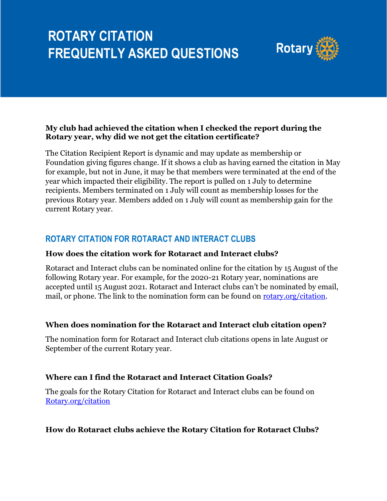

#### **My club had achieved the citation when I checked the report during the Rotary year, why did we not get the citation certificate?**

The Citation Recipient Report is dynamic and may update as membership or Foundation giving figures change. If it shows a club as having earned the citation in May for example, but not in June, it may be that members were terminated at the end of the year which impacted their eligibility. The report is pulled on 1 July to determine recipients. Members terminated on 1 July will count as membership losses for the previous Rotary year. Members added on 1 July will count as membership gain for the current Rotary year.

## **ROTARY CITATION FOR ROTARACT AND INTERACT CLUBS**

#### **How does the citation work for Rotaract and Interact clubs?**

[Rotaract](https://rotary.qualtrics.com/jfe/form/SV_5t1jNqhjujha5Xn) and [Interact](https://rotary.qualtrics.com/jfe/form/SV_0NETMcTWuO8YPSl) clubs can be nominated online for the citation by 15 August of the following Rotary year. For example, for the 2020-21 Rotary year, nominations are accepted until 15 August 2021. Rotaract and Interact clubs can't be nominated by email, mail, or phone. The link to the nomination form can be found on [rotary.org/citation.](http://www.rotary.org/citation)

## **When does nomination for the Rotaract and Interact club citation open?**

The nomination form for Rotaract and Interact club citations opens in late August or September of the current Rotary year.

## **Where can I find the Rotaract and Interact Citation Goals?**

The goals for the Rotary Citation for Rotaract and Interact clubs can be found on [Rotary.org/citation](http://www.rotary.org/citation)

## **How do Rotaract clubs achieve the Rotary Citation for Rotaract Clubs?**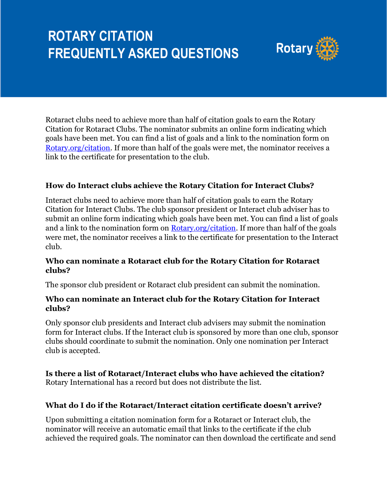

Rotaract clubs need to achieve more than half of citation goals to earn the Rotary Citation for Rotaract Clubs. The nominator submits an online form indicating which goals have been met. You can find a list of goals and a link to the nomination form on [Rotary.org/citation.](http://www.rotary.org/citation) If more than half of the goals were met, the nominator receives a link to the certificate for presentation to the club.

#### **How do Interact clubs achieve the Rotary Citation for Interact Clubs?**

Interact clubs need to achieve more than half of citation goals to earn the Rotary Citation for Interact Clubs. The club sponsor president or Interact club adviser has to submit an online form indicating which goals have been met. You can find a list of goals and a link to the nomination form on [Rotary.org/citation.](http://www.rotary.org/citation) If more than half of the goals were met, the nominator receives a link to the certificate for presentation to the Interact club.

#### **Who can nominate a Rotaract club for the Rotary Citation for Rotaract clubs?**

The sponsor club president or Rotaract club president can submit the nomination.

#### **Who can nominate an Interact club for the Rotary Citation for Interact clubs?**

Only sponsor club presidents and Interact club advisers may submit the nomination form for Interact clubs. If the Interact club is sponsored by more than one club, sponsor clubs should coordinate to submit the nomination. Only one nomination per Interact club is accepted.

#### **Is there a list of Rotaract/Interact clubs who have achieved the citation?** Rotary International has a record but does not distribute the list.

#### **What do I do if the Rotaract/Interact citation certificate doesn't arrive?**

Upon submitting a citation nomination form for a Rotaract or Interact club, the nominator will receive an automatic email that links to the certificate if the club achieved the required goals. The nominator can then download the certificate and send